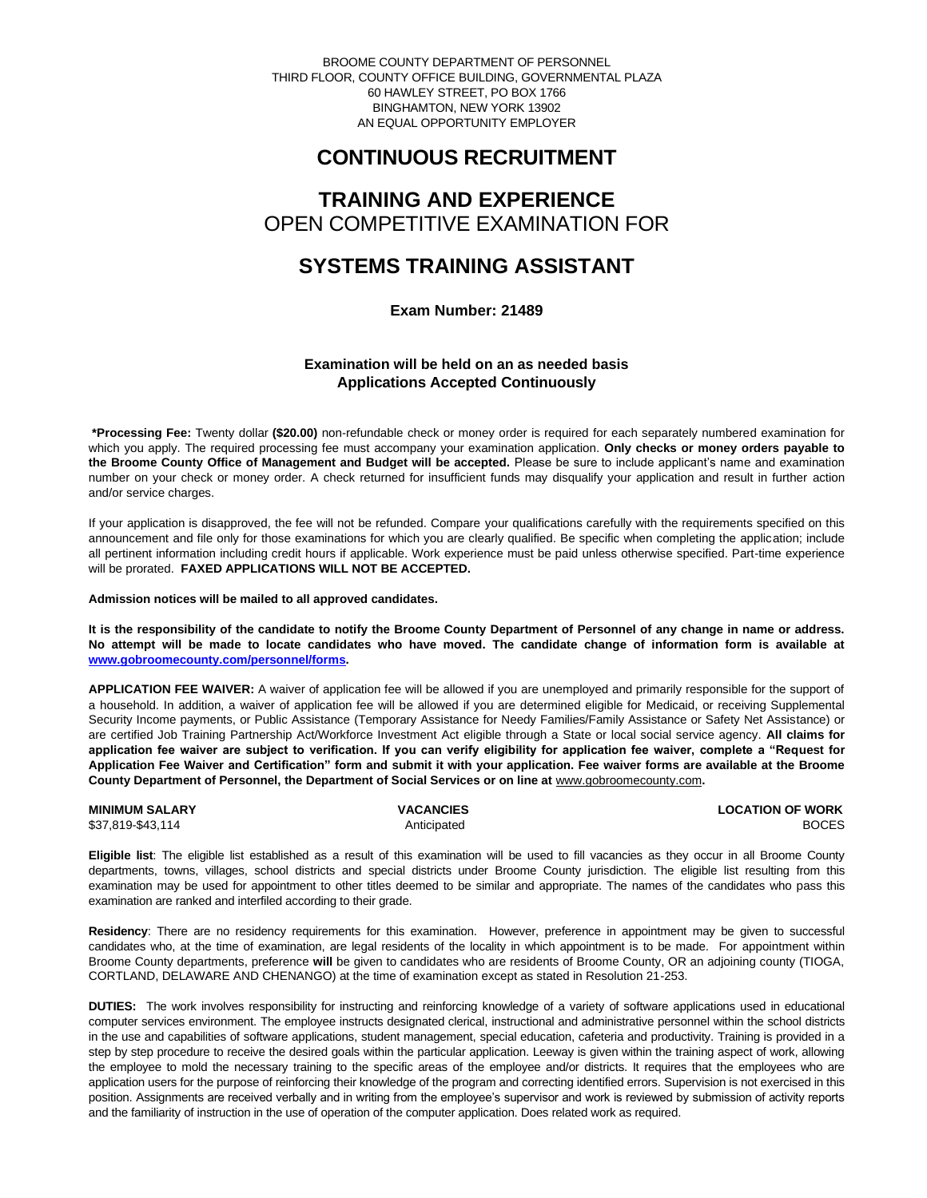BROOME COUNTY DEPARTMENT OF PERSONNEL THIRD FLOOR, COUNTY OFFICE BUILDING, GOVERNMENTAL PLAZA 60 HAWLEY STREET, PO BOX 1766 BINGHAMTON, NEW YORK 13902 AN EQUAL OPPORTUNITY EMPLOYER

# **CONTINUOUS RECRUITMENT**

# **TRAINING AND EXPERIENCE** OPEN COMPETITIVE EXAMINATION FOR

## **SYSTEMS TRAINING ASSISTANT**

**Exam Number: 21489**

### **Examination will be held on an as needed basis Applications Accepted Continuously**

**\*Processing Fee:** Twenty dollar **(\$20.00)** non-refundable check or money order is required for each separately numbered examination for which you apply. The required processing fee must accompany your examination application. **Only checks or money orders payable to the Broome County Office of Management and Budget will be accepted.** Please be sure to include applicant's name and examination number on your check or money order. A check returned for insufficient funds may disqualify your application and result in further action and/or service charges.

If your application is disapproved, the fee will not be refunded. Compare your qualifications carefully with the requirements specified on this announcement and file only for those examinations for which you are clearly qualified. Be specific when completing the application; include all pertinent information including credit hours if applicable. Work experience must be paid unless otherwise specified. Part-time experience will be prorated. **FAXED APPLICATIONS WILL NOT BE ACCEPTED.** 

**Admission notices will be mailed to all approved candidates.** 

**It is the responsibility of the candidate to notify the Broome County Department of Personnel of any change in name or address. No attempt will be made to locate candidates who have moved. The candidate change of information form is available at [www.gobroomecounty.com/personnel/forms.](http://www.gobroomecounty.com/personnel/forms)** 

**APPLICATION FEE WAIVER:** A waiver of application fee will be allowed if you are unemployed and primarily responsible for the support of a household. In addition, a waiver of application fee will be allowed if you are determined eligible for Medicaid, or receiving Supplemental Security Income payments, or Public Assistance (Temporary Assistance for Needy Families/Family Assistance or Safety Net Assistance) or are certified Job Training Partnership Act/Workforce Investment Act eligible through a State or local social service agency. **All claims for application fee waiver are subject to verification. If you can verify eligibility for application fee waiver, complete a "Request for Application Fee Waiver and Certification" form and submit it with your application. Fee waiver forms are available at the Broome**  County Department of Personnel, the Department of Social Services or on line at **www.gobroomecounty.com.** 

\$37,819-\$43,114 Anticipated BOCES

**MINIMUM SALARY CONSUMINITY OF WORK CONSUMINIMUM SALARY CONSUMINIMUM SALARY CONSUMINIMUM OF WORK** 

**Eligible list**: The eligible list established as a result of this examination will be used to fill vacancies as they occur in all Broome County departments, towns, villages, school districts and special districts under Broome County jurisdiction. The eligible list resulting from this examination may be used for appointment to other titles deemed to be similar and appropriate. The names of the candidates who pass this examination are ranked and interfiled according to their grade.

**Residency**: There are no residency requirements for this examination. However, preference in appointment may be given to successful candidates who, at the time of examination, are legal residents of the locality in which appointment is to be made. For appointment within Broome County departments, preference **will** be given to candidates who are residents of Broome County, OR an adjoining county (TIOGA, CORTLAND, DELAWARE AND CHENANGO) at the time of examination except as stated in Resolution 21-253.

**DUTIES:** The work involves responsibility for instructing and reinforcing knowledge of a variety of software applications used in educational computer services environment. The employee instructs designated clerical, instructional and administrative personnel within the school districts in the use and capabilities of software applications, student management, special education, cafeteria and productivity. Training is provided in a step by step procedure to receive the desired goals within the particular application. Leeway is given within the training aspect of work, allowing the employee to mold the necessary training to the specific areas of the employee and/or districts. It requires that the employees who are application users for the purpose of reinforcing their knowledge of the program and correcting identified errors. Supervision is not exercised in this position. Assignments are received verbally and in writing from the employee's supervisor and work is reviewed by submission of activity reports and the familiarity of instruction in the use of operation of the computer application. Does related work as required.